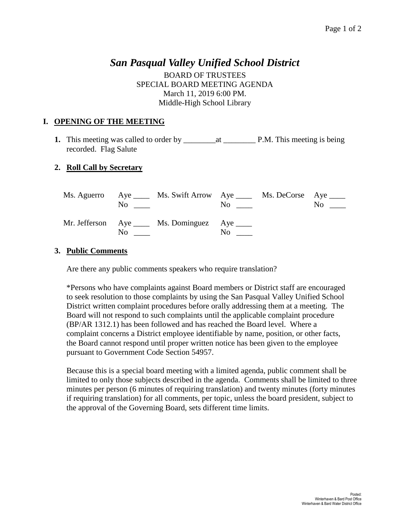## *San Pasqual Valley Unified School District*

BOARD OF TRUSTEES SPECIAL BOARD MEETING AGENDA March 11, 2019 6:00 PM. Middle-High School Library

## **I. OPENING OF THE MEETING**

**1.** This meeting was called to order by \_\_\_\_\_\_\_\_at \_\_\_\_\_\_\_\_ P.M. This meeting is being recorded. Flag Salute

## **2. Roll Call by Secretary**

| No.      | Ms. Aguerro Aye _____ Ms. Swift Arrow Aye _____ Ms. DeCorse Aye _____ | $\overline{N}$ o $\overline{a}$ | $\overline{N_{0}}$ $\overline{\phantom{0}}$ |
|----------|-----------------------------------------------------------------------|---------------------------------|---------------------------------------------|
| $\rm No$ | Mr. Jefferson Aye _____ Ms. Dominguez Aye _____                       | $\rm No$                        |                                             |

## **3. Public Comments**

Are there any public comments speakers who require translation?

\*Persons who have complaints against Board members or District staff are encouraged to seek resolution to those complaints by using the San Pasqual Valley Unified School District written complaint procedures before orally addressing them at a meeting. The Board will not respond to such complaints until the applicable complaint procedure (BP/AR 1312.1) has been followed and has reached the Board level. Where a complaint concerns a District employee identifiable by name, position, or other facts, the Board cannot respond until proper written notice has been given to the employee pursuant to Government Code Section 54957.

Because this is a special board meeting with a limited agenda, public comment shall be limited to only those subjects described in the agenda. Comments shall be limited to three minutes per person (6 minutes of requiring translation) and twenty minutes (forty minutes if requiring translation) for all comments, per topic, unless the board president, subject to the approval of the Governing Board, sets different time limits.